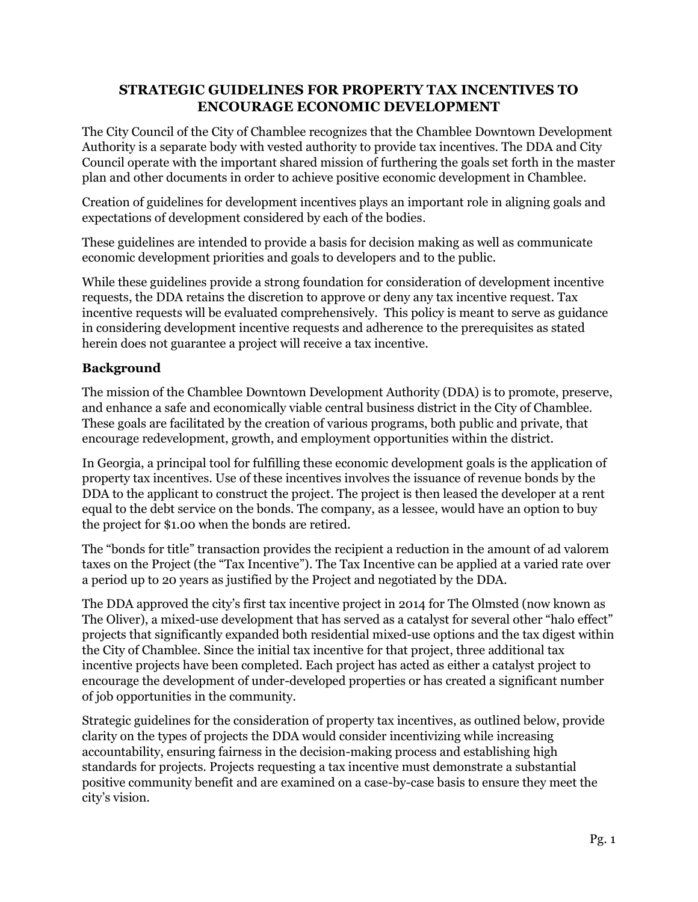## **STRATEGIC GUIDELINES FOR PROPERTY TAX INCENTIVES TO ENCOURAGE ECONOMIC DEVELOPMENT**

The City Council of the City of Chamblee recognizes that the Chamblee Downtown Development Authority is a separate body with vested authority to provide tax incentives. The DDA and City Council operate with the important shared mission of furthering the goals set forth in the master plan and other documents in order to achieve positive economic development in Chamblee.

Creation of guidelines for development incentives plays an important role in aligning goals and expectations of development considered by each of the bodies.

These guidelines are intended to provide a basis for decision making as well as communicate economic development priorities and goals to developers and to the public.

While these guidelines provide a strong foundation for consideration of development incentive requests, the DDA retains the discretion to approve or deny any tax incentive request. Tax incentive requests will be evaluated comprehensively. This policy is meant to serve as guidance in considering development incentive requests and adherence to the prerequisites as stated herein does not guarantee a project will receive a tax incentive.

## **Background**

The mission of the Chamblee Downtown Development Authority (DDA) is to promote, preserve, and enhance a safe and economically viable central business district in the City of Chamblee. These goals are facilitated by the creation of various programs, both public and private, that encourage redevelopment, growth, and employment opportunities within the district.

In Georgia, a principal tool for fulfilling these economic development goals is the application of property tax incentives. Use of these incentives involves the issuance of revenue bonds by the DDA to the applicant to construct the project. The project is then leased the developer at a rent equal to the debt service on the bonds. The company, as a lessee, would have an option to buy the project for \$1.00 when the bonds are retired.

The "bonds for title" transaction provides the recipient a reduction in the amount of ad valorem taxes on the Project (the "Tax Incentive"). The Tax Incentive can be applied at a varied rate over a period up to 20 years as justified by the Project and negotiated by the DDA.

The DDA approved the city's first tax incentive project in 2014 for The Olmsted (now known as The Oliver), a mixed-use development that has served as a catalyst for several other "halo effect" projects that significantly expanded both residential mixed-use options and the tax digest within the City of Chamblee. Since the initial tax incentive for that project, three additional tax incentive projects have been completed. Each project has acted as either a catalyst project to encourage the development of under-developed properties or has created a significant number of job opportunities in the community.

Strategic guidelines for the consideration of property tax incentives, as outlined below, provide clarity on the types of projects the DDA would consider incentivizing while increasing accountability, ensuring fairness in the decision-making process and establishing high standards for projects. Projects requesting a tax incentive must demonstrate a substantial positive community benefit and are examined on a case-by-case basis to ensure they meet the city's vision.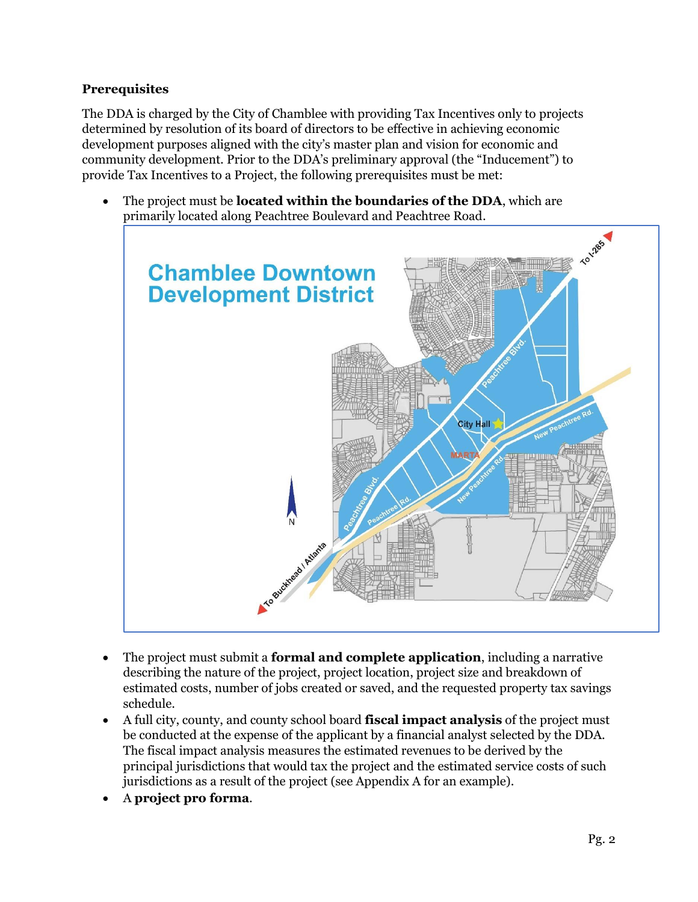## **Prerequisites**

The DDA is charged by the City of Chamblee with providing Tax Incentives only to projects determined by resolution of its board of directors to be effective in achieving economic development purposes aligned with the city's master plan and vision for economic and community development. Prior to the DDA's preliminary approval (the "Inducement") to provide Tax Incentives to a Project, the following prerequisites must be met:

• The project must be **located within the boundaries of the DDA**, which are primarily located along Peachtree Boulevard and Peachtree Road.



- The project must submit a **formal and complete application**, including a narrative describing the nature of the project, project location, project size and breakdown of estimated costs, number of jobs created or saved, and the requested property tax savings schedule.
- A full city, county, and county school board **fiscal impact analysis** of the project must be conducted at the expense of the applicant by a financial analyst selected by the DDA. The fiscal impact analysis measures the estimated revenues to be derived by the principal jurisdictions that would tax the project and the estimated service costs of such jurisdictions as a result of the project (see Appendix A for an example).
- A **project pro forma**.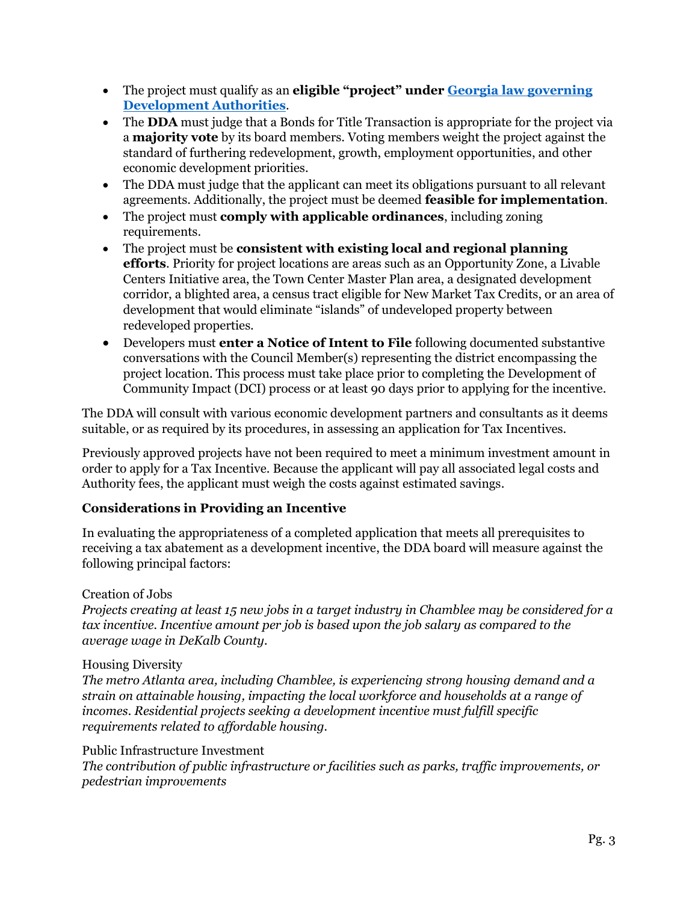- The project must qualify as an **eligible "project" under Georgia [law governing](https://law.justia.com/codes/georgia/2010/title-36/provisions/chapter-62/36-62-7/) [Development Authorities](https://law.justia.com/codes/georgia/2010/title-36/provisions/chapter-62/36-62-7/)**.
- The **DDA** must judge that a Bonds for Title Transaction is appropriate for the project via a **majority vote** by its board members. Voting members weight the project against the standard of furthering redevelopment, growth, employment opportunities, and other economic development priorities.
- The DDA must judge that the applicant can meet its obligations pursuant to all relevant agreements. Additionally, the project must be deemed **feasible for implementation**.
- The project must **comply with applicable ordinances**, including zoning requirements.
- The project must be **consistent with existing local and regional planning efforts**. Priority for project locations are areas such as an Opportunity Zone, a Livable Centers Initiative area, the Town Center Master Plan area, a designated development corridor, a blighted area, a census tract eligible for New Market Tax Credits, or an area of development that would eliminate "islands" of undeveloped property between redeveloped properties.
- Developers must **enter a Notice of Intent to File** following documented substantive conversations with the Council Member(s) representing the district encompassing the project location. This process must take place prior to completing the Development of Community Impact (DCI) process or at least 90 days prior to applying for the incentive.

The DDA will consult with various economic development partners and consultants as it deems suitable, or as required by its procedures, in assessing an application for Tax Incentives.

Previously approved projects have not been required to meet a minimum investment amount in order to apply for a Tax Incentive. Because the applicant will pay all associated legal costs and Authority fees, the applicant must weigh the costs against estimated savings.

## **Considerations in Providing an Incentive**

In evaluating the appropriateness of a completed application that meets all prerequisites to receiving a tax abatement as a development incentive, the DDA board will measure against the following principal factors:

## Creation of Jobs

*Projects creating at least 15 new jobs in a target industry in Chamblee may be considered for a tax incentive. Incentive amount per job is based upon the job salary as compared to the average wage in DeKalb County.*

## Housing Diversity

*The metro Atlanta area, including Chamblee, is experiencing strong housing demand and a strain on attainable housing, impacting the local workforce and households at a range of incomes. Residential projects seeking a development incentive must fulfill specific requirements related to affordable housing.*

## Public Infrastructure Investment

*The contribution of public infrastructure or facilities such as parks, traffic improvements, or pedestrian improvements*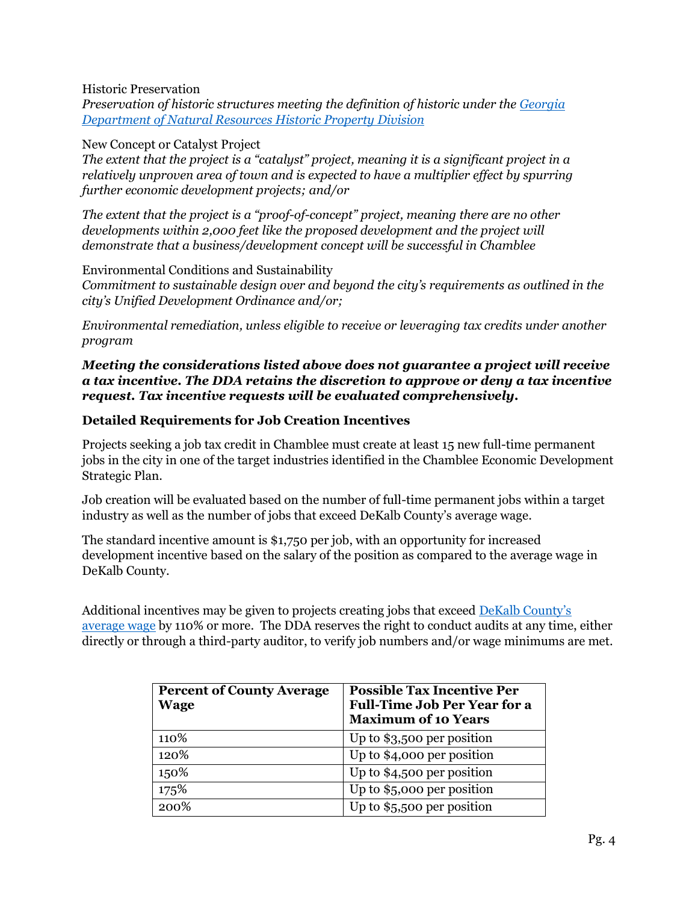## Historic Preservation

*Preservation of historic structures meeting the definition of historic under the [Georgia](https://www.dca.ga.gov/sites/default/files/whatmakesapropertyhistoric_0.pdf)  [Department of Natural Resources Historic Property Division](https://www.dca.ga.gov/sites/default/files/whatmakesapropertyhistoric_0.pdf)*

#### New Concept or Catalyst Project

*The extent that the project is a "catalyst" project, meaning it is a significant project in a relatively unproven area of town and is expected to have a multiplier effect by spurring further economic development projects; and/or*

*The extent that the project is a "proof-of-concept" project, meaning there are no other developments within 2,000 feet like the proposed development and the project will demonstrate that a business/development concept will be successful in Chamblee*

Environmental Conditions and Sustainability

*Commitment to sustainable design over and beyond the city's requirements as outlined in the city's Unified Development Ordinance and/or;*

*Environmental remediation, unless eligible to receive or leveraging tax credits under another program*

## *Meeting the considerations listed above does not guarantee a project will receive a tax incentive. The DDA retains the discretion to approve or deny a tax incentive request. Tax incentive requests will be evaluated comprehensively.*

## **Detailed Requirements for Job Creation Incentives**

Projects seeking a job tax credit in Chamblee must create at least 15 new full-time permanent jobs in the city in one of the target industries identified in the Chamblee Economic Development Strategic Plan.

Job creation will be evaluated based on the number of full-time permanent jobs within a target industry as well as the number of jobs that exceed DeKalb County's average wage.

The standard incentive amount is \$1,750 per job, with an opportunity for increased development incentive based on the salary of the position as compared to the average wage in DeKalb County.

Additional incentives may be given to projects creating jobs that exceed [DeKalb County's](https://explorer.gdol.ga.gov/gsipub/index.asp?docid=390)  [average wage](https://explorer.gdol.ga.gov/gsipub/index.asp?docid=390) by 110% or more. The DDA reserves the right to conduct audits at any time, either directly or through a third-party auditor, to verify job numbers and/or wage minimums are met.

| <b>Percent of County Average</b><br><b>Wage</b> | <b>Possible Tax Incentive Per</b><br><b>Full-Time Job Per Year for a</b><br><b>Maximum of 10 Years</b> |
|-------------------------------------------------|--------------------------------------------------------------------------------------------------------|
| 110%                                            | Up to $$3,500$ per position                                                                            |
| 120%                                            | Up to \$4,000 per position                                                                             |
| 150%                                            | Up to $$4,500$ per position                                                                            |
| 175%                                            | Up to $$5,000$ per position                                                                            |
| 200%                                            | Up to $$5,500$ per position                                                                            |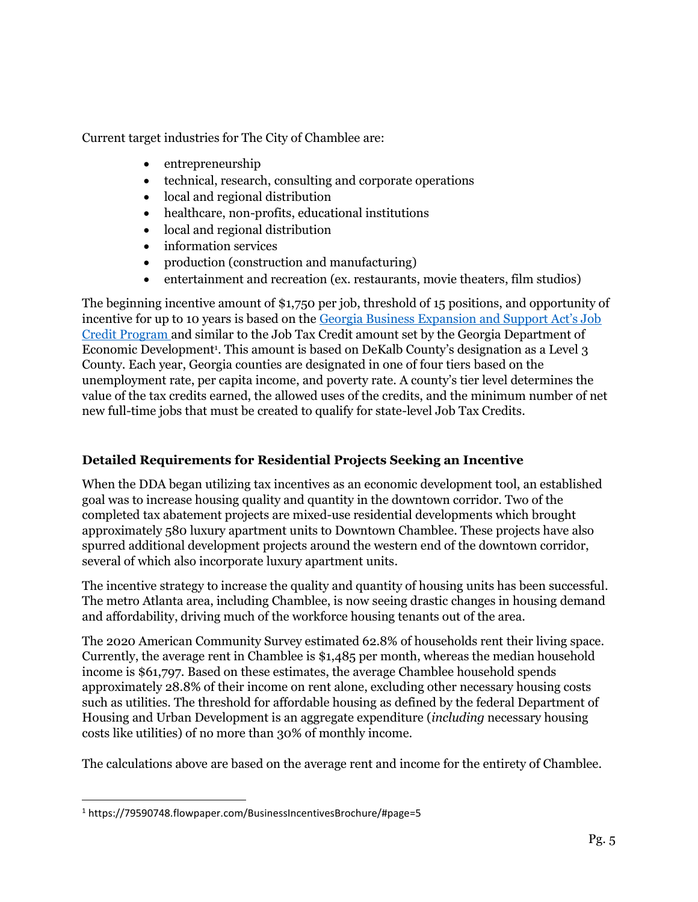Current target industries for The City of Chamblee are:

- entrepreneurship
- technical, research, consulting and corporate operations
- local and regional distribution
- healthcare, non-profits, educational institutions
- local and regional distribution
- information services
- production (construction and manufacturing)
- entertainment and recreation (ex. restaurants, movie theaters, film studios)

The beginning incentive amount of \$1,750 per job, threshold of 15 positions, and opportunity of incentive for up to 10 years is based on the [Georgia Business Expansion and Support Act's Job](https://www.georgia.org/competitive-advantages/incentives/tax-credits)  [Credit Program](https://www.georgia.org/competitive-advantages/incentives/tax-credits) and similar to the Job Tax Credit amount set by the Georgia Department of Economic Development<sup>1</sup>. This amount is based on DeKalb County's designation as a Level 3 County. Each year, Georgia counties are designated in one of four tiers based on the unemployment rate, per capita income, and poverty rate. A county's tier level determines the value of the tax credits earned, the allowed uses of the credits, and the minimum number of net new full-time jobs that must be created to qualify for state-level Job Tax Credits.

## **Detailed Requirements for Residential Projects Seeking an Incentive**

When the DDA began utilizing tax incentives as an economic development tool, an established goal was to increase housing quality and quantity in the downtown corridor. Two of the completed tax abatement projects are mixed-use residential developments which brought approximately 580 luxury apartment units to Downtown Chamblee. These projects have also spurred additional development projects around the western end of the downtown corridor, several of which also incorporate luxury apartment units.

The incentive strategy to increase the quality and quantity of housing units has been successful. The metro Atlanta area, including Chamblee, is now seeing drastic changes in housing demand and affordability, driving much of the workforce housing tenants out of the area.

The 2020 American Community Survey estimated 62.8% of households rent their living space. Currently, the average rent in Chamblee is \$1,485 per month, whereas the median household income is \$61,797. Based on these estimates, the average Chamblee household spends approximately 28.8% of their income on rent alone, excluding other necessary housing costs such as utilities. The threshold for affordable housing as defined by the federal Department of Housing and Urban Development is an aggregate expenditure (*including* necessary housing costs like utilities) of no more than 30% of monthly income.

The calculations above are based on the average rent and income for the entirety of Chamblee.

<sup>1</sup> https://79590748.flowpaper.com/BusinessIncentivesBrochure/#page=5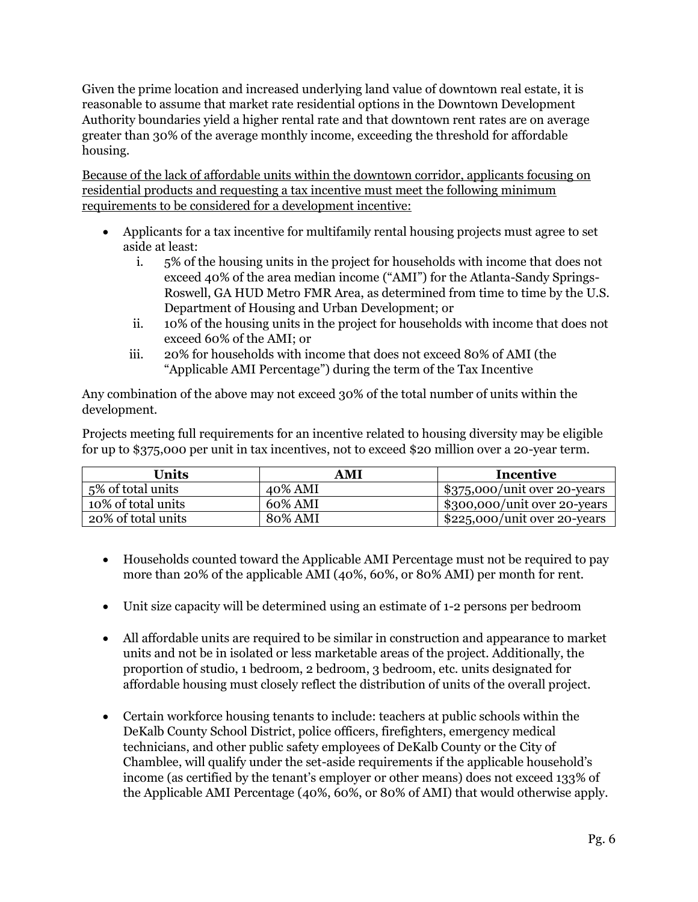Given the prime location and increased underlying land value of downtown real estate, it is reasonable to assume that market rate residential options in the Downtown Development Authority boundaries yield a higher rental rate and that downtown rent rates are on average greater than 30% of the average monthly income, exceeding the threshold for affordable housing.

Because of the lack of affordable units within the downtown corridor, applicants focusing on residential products and requesting a tax incentive must meet the following minimum requirements to be considered for a development incentive:

- Applicants for a tax incentive for multifamily rental housing projects must agree to set aside at least:
	- i. 5% of the housing units in the project for households with income that does not exceed 40% of the area median income ("AMI") for the Atlanta-Sandy Springs-Roswell, GA HUD Metro FMR Area, as determined from time to time by the U.S. Department of Housing and Urban Development; or
	- ii. 10% of the housing units in the project for households with income that does not exceed 60% of the AMI; or
	- iii. 20% for households with income that does not exceed 80% of AMI (the "Applicable AMI Percentage") during the term of the Tax Incentive

Any combination of the above may not exceed 30% of the total number of units within the development.

Projects meeting full requirements for an incentive related to housing diversity may be eligible for up to \$375,000 per unit in tax incentives, not to exceed \$20 million over a 20-year term.

| Units              | AMI     | Incentive                                  |
|--------------------|---------|--------------------------------------------|
| 5% of total units  | 40% AMI | $\frac{1}{2}$ \$375,000/unit over 20-years |
| 10% of total units | 60% AMI | $\frac{1}{2}$ \$300,000/unit over 20-years |
| 20% of total units | 80% AMI | $$225,000/$ unit over 20-years             |

- Households counted toward the Applicable AMI Percentage must not be required to pay more than 20% of the applicable AMI (40%, 60%, or 80% AMI) per month for rent.
- Unit size capacity will be determined using an estimate of 1-2 persons per bedroom
- All affordable units are required to be similar in construction and appearance to market units and not be in isolated or less marketable areas of the project. Additionally, the proportion of studio, 1 bedroom, 2 bedroom, 3 bedroom, etc. units designated for affordable housing must closely reflect the distribution of units of the overall project.
- Certain workforce housing tenants to include: teachers at public schools within the DeKalb County School District, police officers, firefighters, emergency medical technicians, and other public safety employees of DeKalb County or the City of Chamblee, will qualify under the set-aside requirements if the applicable household's income (as certified by the tenant's employer or other means) does not exceed 133% of the Applicable AMI Percentage (40%, 60%, or 80% of AMI) that would otherwise apply.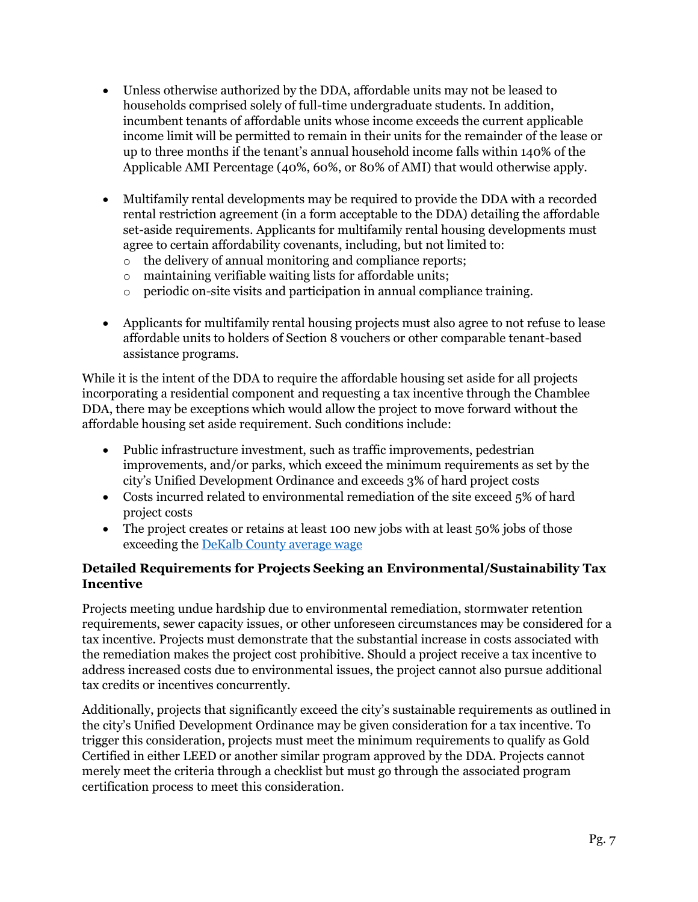- Unless otherwise authorized by the DDA, affordable units may not be leased to households comprised solely of full-time undergraduate students. In addition, incumbent tenants of affordable units whose income exceeds the current applicable income limit will be permitted to remain in their units for the remainder of the lease or up to three months if the tenant's annual household income falls within 140% of the Applicable AMI Percentage (40%, 60%, or 80% of AMI) that would otherwise apply.
- Multifamily rental developments may be required to provide the DDA with a recorded rental restriction agreement (in a form acceptable to the DDA) detailing the affordable set-aside requirements. Applicants for multifamily rental housing developments must agree to certain affordability covenants, including, but not limited to:
	- o the delivery of annual monitoring and compliance reports;
	- o maintaining verifiable waiting lists for affordable units;
	- o periodic on-site visits and participation in annual compliance training.
- Applicants for multifamily rental housing projects must also agree to not refuse to lease affordable units to holders of Section 8 vouchers or other comparable tenant-based assistance programs.

While it is the intent of the DDA to require the affordable housing set aside for all projects incorporating a residential component and requesting a tax incentive through the Chamblee DDA, there may be exceptions which would allow the project to move forward without the affordable housing set aside requirement. Such conditions include:

- Public infrastructure investment, such as traffic improvements, pedestrian improvements, and/or parks, which exceed the minimum requirements as set by the city's Unified Development Ordinance and exceeds 3% of hard project costs
- Costs incurred related to environmental remediation of the site exceed 5% of hard project costs
- The project creates or retains at least 100 new jobs with at least 50% jobs of those exceeding the [DeKalb County average wage](https://explorer.gdol.ga.gov/gsipub/index.asp?docid=390)

## **Detailed Requirements for Projects Seeking an Environmental/Sustainability Tax Incentive**

Projects meeting undue hardship due to environmental remediation, stormwater retention requirements, sewer capacity issues, or other unforeseen circumstances may be considered for a tax incentive. Projects must demonstrate that the substantial increase in costs associated with the remediation makes the project cost prohibitive. Should a project receive a tax incentive to address increased costs due to environmental issues, the project cannot also pursue additional tax credits or incentives concurrently.

Additionally, projects that significantly exceed the city's sustainable requirements as outlined in the city's Unified Development Ordinance may be given consideration for a tax incentive. To trigger this consideration, projects must meet the minimum requirements to qualify as Gold Certified in either LEED or another similar program approved by the DDA. Projects cannot merely meet the criteria through a checklist but must go through the associated program certification process to meet this consideration.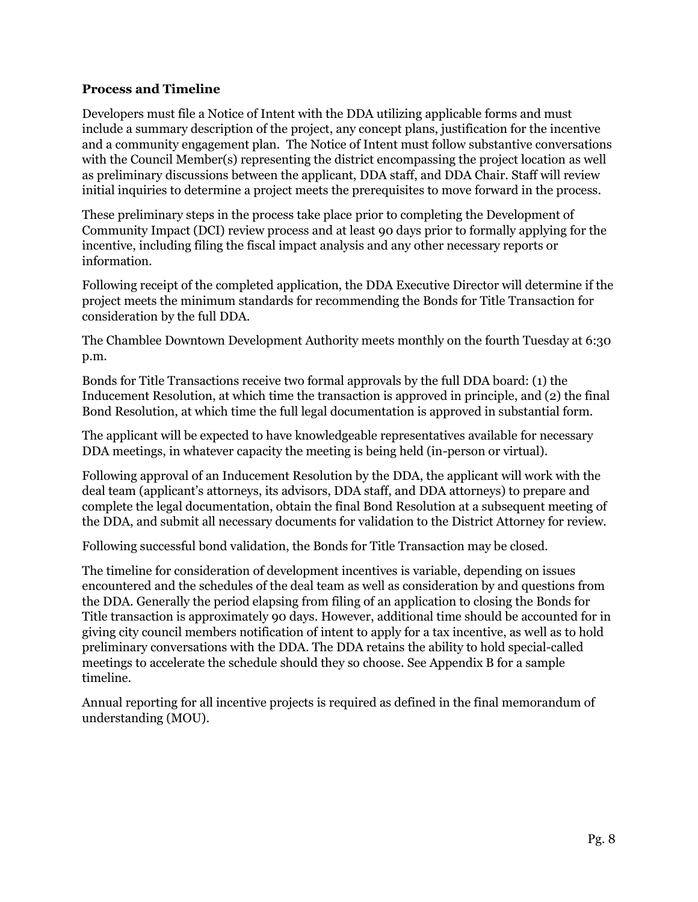## **Process and Timeline**

Developers must file a Notice of Intent with the DDA utilizing applicable forms and must include a summary description of the project, any concept plans, justification for the incentive and a community engagement plan. The Notice of Intent must follow substantive conversations with the Council Member(s) representing the district encompassing the project location as well as preliminary discussions between the applicant, DDA staff, and DDA Chair. Staff will review initial inquiries to determine a project meets the prerequisites to move forward in the process.

These preliminary steps in the process take place prior to completing the Development of Community Impact (DCI) review process and at least 90 days prior to formally applying for the incentive, including filing the fiscal impact analysis and any other necessary reports or information.

Following receipt of the completed application, the DDA Executive Director will determine if the project meets the minimum standards for recommending the Bonds for Title Transaction for consideration by the full DDA.

The Chamblee Downtown Development Authority meets monthly on the fourth Tuesday at 6:30 p.m.

Bonds for Title Transactions receive two formal approvals by the full DDA board: (1) the Inducement Resolution, at which time the transaction is approved in principle, and (2) the final Bond Resolution, at which time the full legal documentation is approved in substantial form.

The applicant will be expected to have knowledgeable representatives available for necessary DDA meetings, in whatever capacity the meeting is being held (in-person or virtual).

Following approval of an Inducement Resolution by the DDA, the applicant will work with the deal team (applicant's attorneys, its advisors, DDA staff, and DDA attorneys) to prepare and complete the legal documentation, obtain the final Bond Resolution at a subsequent meeting of the DDA, and submit all necessary documents for validation to the District Attorney for review.

Following successful bond validation, the Bonds for Title Transaction may be closed.

The timeline for consideration of development incentives is variable, depending on issues encountered and the schedules of the deal team as well as consideration by and questions from the DDA. Generally the period elapsing from filing of an application to closing the Bonds for Title transaction is approximately 90 days. However, additional time should be accounted for in giving city council members notification of intent to apply for a tax incentive, as well as to hold preliminary conversations with the DDA. The DDA retains the ability to hold special-called meetings to accelerate the schedule should they so choose. See Appendix B for a sample timeline.

Annual reporting for all incentive projects is required as defined in the final memorandum of understanding (MOU).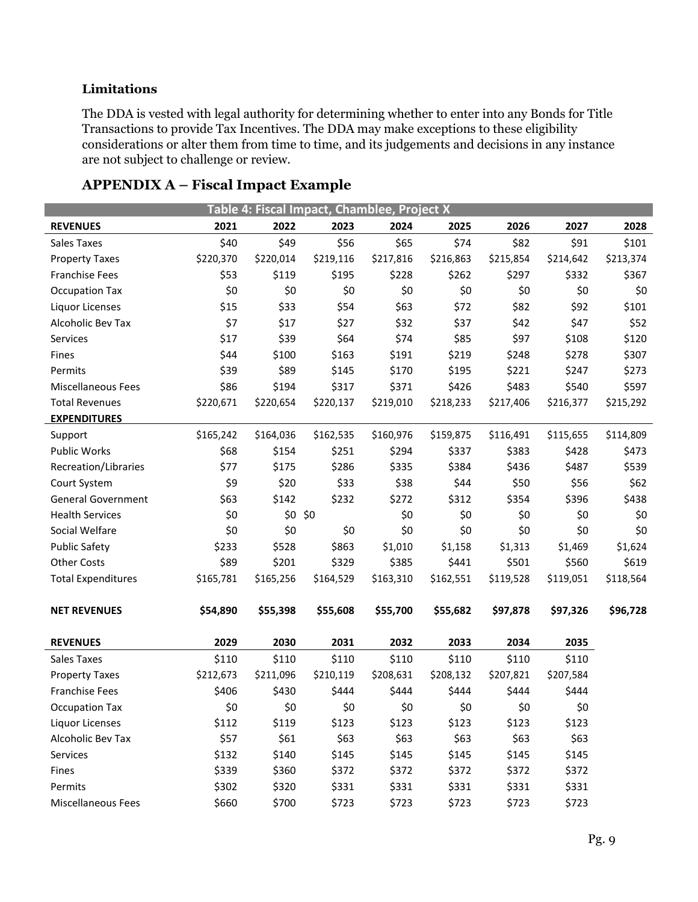## **Limitations**

The DDA is vested with legal authority for determining whether to enter into any Bonds for Title Transactions to provide Tax Incentives. The DDA may make exceptions to these eligibility considerations or alter them from time to time, and its judgements and decisions in any instance are not subject to challenge or review.

| Table 4: Fiscal Impact, Chamblee, Project X |           |           |           |           |           |           |           |           |
|---------------------------------------------|-----------|-----------|-----------|-----------|-----------|-----------|-----------|-----------|
| <b>REVENUES</b>                             | 2021      | 2022      | 2023      | 2024      | 2025      | 2026      | 2027      | 2028      |
| Sales Taxes                                 | \$40      | \$49      | \$56      | \$65      | \$74      | \$82      | \$91      | \$101     |
| <b>Property Taxes</b>                       | \$220,370 | \$220,014 | \$219,116 | \$217,816 | \$216,863 | \$215,854 | \$214,642 | \$213,374 |
| <b>Franchise Fees</b>                       | \$53      | \$119     | \$195     | \$228     | \$262     | \$297     | \$332     | \$367     |
| <b>Occupation Tax</b>                       | \$0       | \$0       | \$0       | \$0       | \$0       | \$0       | \$0       | \$0       |
| Liquor Licenses                             | \$15      | \$33      | \$54      | \$63      | \$72      | \$82      | \$92      | \$101     |
| Alcoholic Bev Tax                           | \$7       | \$17      | \$27      | \$32      | \$37      | \$42      | \$47      | \$52      |
| Services                                    | \$17      | \$39      | \$64      | \$74      | \$85      | \$97      | \$108     | \$120     |
| Fines                                       | \$44      | \$100     | \$163     | \$191     | \$219     | \$248     | \$278     | \$307     |
| Permits                                     | \$39      | \$89      | \$145     | \$170     | \$195     | \$221     | \$247     | \$273     |
| <b>Miscellaneous Fees</b>                   | \$86      | \$194     | \$317     | \$371     | \$426     | \$483     | \$540     | \$597     |
| <b>Total Revenues</b>                       | \$220,671 | \$220,654 | \$220,137 | \$219,010 | \$218,233 | \$217,406 | \$216,377 | \$215,292 |
| <b>EXPENDITURES</b>                         |           |           |           |           |           |           |           |           |
| Support                                     | \$165,242 | \$164,036 | \$162,535 | \$160,976 | \$159,875 | \$116,491 | \$115,655 | \$114,809 |
| <b>Public Works</b>                         | \$68      | \$154     | \$251     | \$294     | \$337     | \$383     | \$428     | \$473     |
| Recreation/Libraries                        | \$77      | \$175     | \$286     | \$335     | \$384     | \$436     | \$487     | \$539     |
| Court System                                | \$9       | \$20      | \$33      | \$38      | \$44      | \$50      | \$56      | \$62      |
| <b>General Government</b>                   | \$63      | \$142     | \$232     | \$272     | \$312     | \$354     | \$396     | \$438     |
| <b>Health Services</b>                      | \$0       | \$0       | \$0       | \$0       | \$0       | \$0       | \$0       | \$0       |
| Social Welfare                              | \$0       | \$0       | \$0       | \$0       | \$0       | \$0       | \$0       | \$0       |
| <b>Public Safety</b>                        | \$233     | \$528     | \$863     | \$1,010   | \$1,158   | \$1,313   | \$1,469   | \$1,624   |
| <b>Other Costs</b>                          | \$89      | \$201     | \$329     | \$385     | \$441     | \$501     | \$560     | \$619     |
| <b>Total Expenditures</b>                   | \$165,781 | \$165,256 | \$164,529 | \$163,310 | \$162,551 | \$119,528 | \$119,051 | \$118,564 |
| <b>NET REVENUES</b>                         | \$54,890  | \$55,398  | \$55,608  | \$55,700  | \$55,682  | \$97,878  | \$97,326  | \$96,728  |
|                                             |           |           |           |           |           |           |           |           |
| <b>REVENUES</b>                             | 2029      | 2030      | 2031      | 2032      | 2033      | 2034      | 2035      |           |
| <b>Sales Taxes</b>                          | \$110     | \$110     | \$110     | \$110     | \$110     | \$110     | \$110     |           |
| <b>Property Taxes</b>                       | \$212,673 | \$211,096 | \$210,119 | \$208,631 | \$208,132 | \$207,821 | \$207,584 |           |
| <b>Franchise Fees</b>                       | \$406     | \$430     | \$444     | \$444     | \$444     | \$444     | \$444     |           |
| <b>Occupation Tax</b>                       | \$0       | \$0       | \$0       | \$0       | \$0       | \$0       | \$0       |           |
| Liquor Licenses                             | \$112     | \$119     | \$123     | \$123     | \$123     | \$123     | \$123     |           |
| Alcoholic Bev Tax                           | \$57      | \$61      | \$63      | \$63      | \$63      | \$63      | \$63      |           |
| Services                                    | \$132     | \$140     | \$145     | \$145     | \$145     | \$145     | \$145     |           |
| Fines                                       | \$339     | \$360     | \$372     | \$372     | \$372     | \$372     | \$372     |           |
| Permits                                     | \$302     | \$320     | \$331     | \$331     | \$331     | \$331     | \$331     |           |
| Miscellaneous Fees                          | \$660     | \$700     | \$723     | \$723     | \$723     | \$723     | \$723     |           |

# **APPENDIX A – Fiscal Impact Example**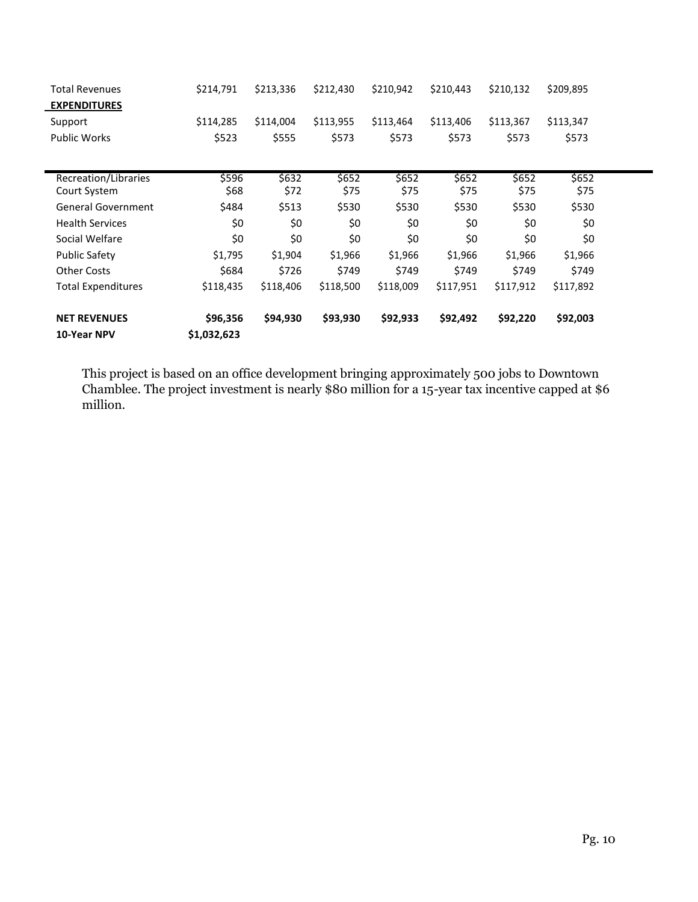| <b>Total Revenues</b>     | \$214,791   | \$213,336 | \$212,430 | \$210,942 | \$210,443 | \$210,132 | \$209,895 |  |
|---------------------------|-------------|-----------|-----------|-----------|-----------|-----------|-----------|--|
| <b>EXPENDITURES</b>       |             |           |           |           |           |           |           |  |
| Support                   | \$114,285   | \$114,004 | \$113,955 | \$113,464 | \$113,406 | \$113,367 | \$113,347 |  |
| <b>Public Works</b>       | \$523       | \$555     | \$573     | \$573     | \$573     | \$573     | \$573     |  |
|                           |             |           |           |           |           |           |           |  |
| Recreation/Libraries      | \$596       | \$632     | \$652     | \$652     | \$652     | \$652     | \$652     |  |
| Court System              | \$68        | \$72      | \$75      | \$75      | \$75      | \$75      | \$75      |  |
| <b>General Government</b> | \$484       | \$513     | \$530     | \$530     | \$530     | \$530     | \$530     |  |
| <b>Health Services</b>    | \$0         | \$0       | \$0       | \$0       | \$0       | \$0       | \$0       |  |
| Social Welfare            | \$0         | \$0       | \$0       | \$0       | \$0       | \$0       | \$0       |  |
| <b>Public Safety</b>      | \$1,795     | \$1,904   | \$1,966   | \$1,966   | \$1,966   | \$1,966   | \$1,966   |  |
| <b>Other Costs</b>        | \$684       | \$726     | \$749     | \$749     | \$749     | \$749     | \$749     |  |
| <b>Total Expenditures</b> | \$118,435   | \$118,406 | \$118,500 | \$118,009 | \$117,951 | \$117,912 | \$117,892 |  |
| <b>NET REVENUES</b>       | \$96,356    | \$94,930  | \$93,930  | \$92,933  | \$92,492  | \$92,220  | \$92,003  |  |
| 10-Year NPV               | \$1,032,623 |           |           |           |           |           |           |  |

This project is based on an office development bringing approximately 500 jobs to Downtown Chamblee. The project investment is nearly \$80 million for a 15-year tax incentive capped at \$6 million.